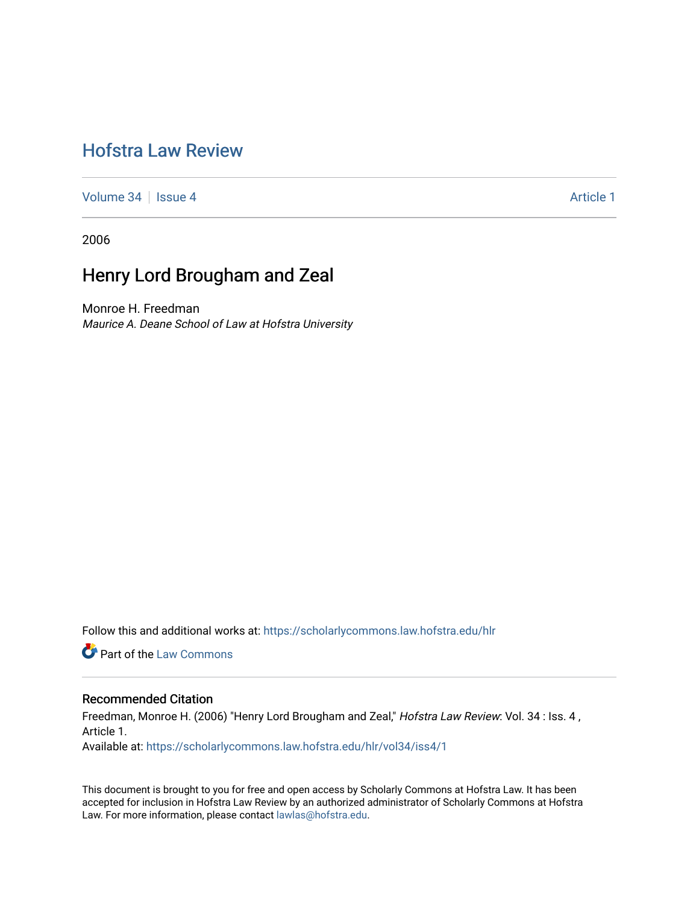# [Hofstra Law Review](https://scholarlycommons.law.hofstra.edu/hlr)

[Volume 34](https://scholarlycommons.law.hofstra.edu/hlr/vol34) | [Issue 4](https://scholarlycommons.law.hofstra.edu/hlr/vol34/iss4) Article 1

2006

## Henry Lord Brougham and Zeal

Monroe H. Freedman Maurice A. Deane School of Law at Hofstra University

Follow this and additional works at: [https://scholarlycommons.law.hofstra.edu/hlr](https://scholarlycommons.law.hofstra.edu/hlr?utm_source=scholarlycommons.law.hofstra.edu%2Fhlr%2Fvol34%2Fiss4%2F1&utm_medium=PDF&utm_campaign=PDFCoverPages)

**Part of the [Law Commons](http://network.bepress.com/hgg/discipline/578?utm_source=scholarlycommons.law.hofstra.edu%2Fhlr%2Fvol34%2Fiss4%2F1&utm_medium=PDF&utm_campaign=PDFCoverPages)** 

## Recommended Citation

Freedman, Monroe H. (2006) "Henry Lord Brougham and Zeal," Hofstra Law Review: Vol. 34 : Iss. 4, Article 1. Available at: [https://scholarlycommons.law.hofstra.edu/hlr/vol34/iss4/1](https://scholarlycommons.law.hofstra.edu/hlr/vol34/iss4/1?utm_source=scholarlycommons.law.hofstra.edu%2Fhlr%2Fvol34%2Fiss4%2F1&utm_medium=PDF&utm_campaign=PDFCoverPages)

This document is brought to you for free and open access by Scholarly Commons at Hofstra Law. It has been accepted for inclusion in Hofstra Law Review by an authorized administrator of Scholarly Commons at Hofstra Law. For more information, please contact [lawlas@hofstra.edu.](mailto:lawlas@hofstra.edu)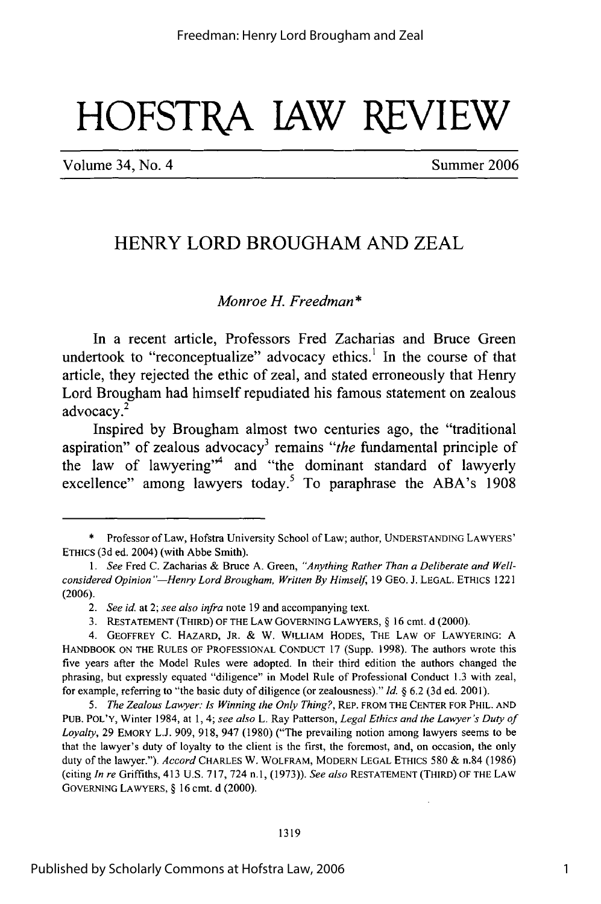# HOFSTPA **lAW** REVIEW

Volume 34, No. 4 Summer 2006

1

## HENRY LORD BROUGHAM **AND** ZEAL

## *Monroe* **H.** *Freedman\**

In a recent article, Professors Fred Zacharias and Bruce Green undertook to "reconceptualize" advocacy ethics.<sup>1</sup> In the course of that article, they rejected the ethic of zeal, and stated erroneously that Henry Lord Brougham had himself repudiated his famous statement on zealous advocacy.<sup>2</sup>

Inspired **by** Brougham almost two centuries ago, the "traditional aspiration" of zealous advocacy<sup>3</sup> remains "the fundamental principle of the law of lawyering"<sup>4</sup> and "the dominant standard of lawyerly excellence" among lawyers today.<sup>5</sup> To paraphrase the ABA's 1908

Professor of Law, Hofstra University School of Law; author, UNDERSTANDING LAWYERS' ETHICS (3d ed. 2004) (with Abbe Smith).

*<sup>1.</sup> See* Fred C. Zacharias & Bruce A. Green, *"Anything Rather Than a Deliberate and Wellconsidered Opinion "-Henry Lord Brougham, Written By Himself* 19 GEO. **J.** LEGAL. ETHICS 1221 (2006).

*<sup>2.</sup> See id.* at 2; *see also infra* note 19 and accompanying text.

<sup>3.</sup> RESTATEMENT (THIRD) OF THE LAW GOVERNING LAWYERS, § 16 cmt. d (2000).

<sup>4.</sup> GEOFFREY C. HAZARD, JR. & W. WILLIAM HODES, THE LAW OF LAWYERING: A HANDBOOK ON THE RULES OF PROFESSIONAL CONDUCT 17 (Supp. 1998). The authors wrote this five years after the Model Rules were adopted. In their third edition the authors changed the phrasing, but expressly equated "diligence" in Model Rule of Professional Conduct 1.3 with zeal, for example, referring to "the basic duty of diligence (or zealousness)." *Id.* § 6.2 (3d ed. 2001).

*<sup>5.</sup> The Zealous Lawyer: Is Winning the Only Thing?,* REP. FROM THE CENTER FOR PHIL. AND PUB. POL'Y, Winter 1984, at 1, 4; *see also* L. Ray Patterson, *Legal Ethics and the Lawyer's Duty of Loyalty,* 29 EMORY L.J. 909, 918, 947 (1980) ("The prevailing notion among lawyers seems to be that the lawyer's duty of loyalty to the client is the first, the foremost, and, on occasion, the only duty of the lawyer."). *Accord* CHARLES W. WOLFRAM, MODERN LEGAL ETHICS **580** & n.84 (1986) (citing *In re* Griffiths, 413 U.S. 717, 724 n.1, (1973)). *See also* RESTATEMENT (THIRD) OF THE LAW GOVERNING LAWYERS, § 16 cmt. d (2000).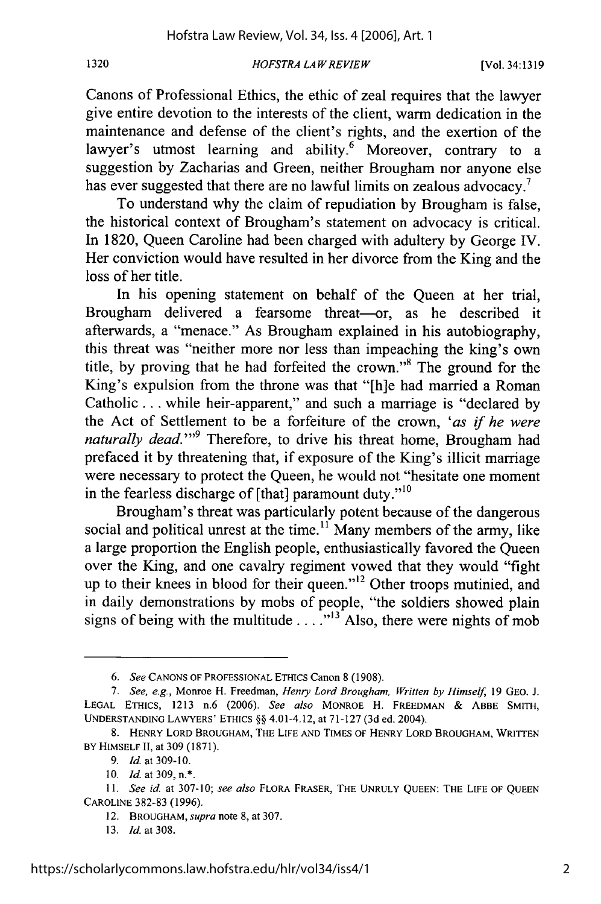1320

### *HOFSTRA LAW REVIEW*

Canons of Professional Ethics, the ethic of zeal requires that the lawyer give entire devotion to the interests of the client, warm dedication in the maintenance and defense of the client's rights, and the exertion of the lawyer's utmost learning and ability.<sup>6</sup> Moreover, contrary to a suggestion by Zacharias and Green, neither Brougham nor anyone else has ever suggested that there are no lawful limits on zealous advocacy.<sup>7</sup>

To understand why the claim of repudiation by Brougham is false, the historical context of Brougham's statement on advocacy is critical. In 1820, Queen Caroline had been charged with adultery by George IV. Her conviction would have resulted in her divorce from the King and the loss of her title.

In his opening statement on behalf of the Queen at her trial, Brougham delivered a fearsome threat-or, as he described it afterwards, a "menace." As Brougham explained in his autobiography, this threat was "neither more nor less than impeaching the king's own title, by proving that he had forfeited the crown."<sup>8</sup> The ground for the King's expulsion from the throne was that "[h]e had married a Roman Catholic... while heir-apparent," and such a marriage is "declared by the Act of Settlement to be a forfeiture of the crown, *'as* if *he were* naturally dead."<sup>9</sup> Therefore, to drive his threat home, Brougham had prefaced it by threatening that, if exposure of the King's illicit marriage were necessary to protect the Queen, he would not "hesitate one moment in the fearless discharge of [that] paramount duty."<sup>10</sup>

Brougham's threat was particularly potent because of the dangerous social and political unrest at the time.<sup>11</sup> Many members of the army, like a large proportion the English people, enthusiastically favored the Queen over the King, and one cavalry regiment vowed that they would "fight up to their knees in blood for their queen."<sup>12</sup> Other troops mutinied, and in daily demonstrations by mobs of people, "the soldiers showed plain signs of being with the multitude  $\dots$ <sup>13</sup>Also, there were nights of mob

*<sup>6.</sup> See* **CANONS** OF **PROFESSIONAL ETHICS** Canon **8 (1908).**

*<sup>7.</sup> See, e.g.,* Monroe H. Freedman, *Henry Lord Brougham, Written by Himself,* **19 GEO. J. LEGAL** ETHICS, **1213** n.6 **(2006).** *See also* MONROE H. **FREEDMAN &** ABBE SMITH, **UNDERSTANDING** LAWYERS' **ETHICS** §§ 4.01-4.12, at **71-127 (3d** ed. 2004).

<sup>8.</sup> HENRY LORD BROUGHAM, THE LIFE AND TIMES OF HENRY LORD BROUGHAM, WRITTEN BY HIMSELF **II,** at **309 (1871).**

*<sup>9.</sup> Id.* at **309-10.**

**<sup>10.</sup>** *Id.* at 309,n.\*.

*<sup>11.</sup> See* id. at **307-10;** *see also* FLORA FRASER, THE UNRULY QUEEN: THE **LIFE** OF **QUEEN** CAROLINE **382-83 (1996).**

<sup>12.</sup> BROUGHAM, *supra* note **8,** at **307.**

**<sup>13.</sup>** *Id.* at **308.**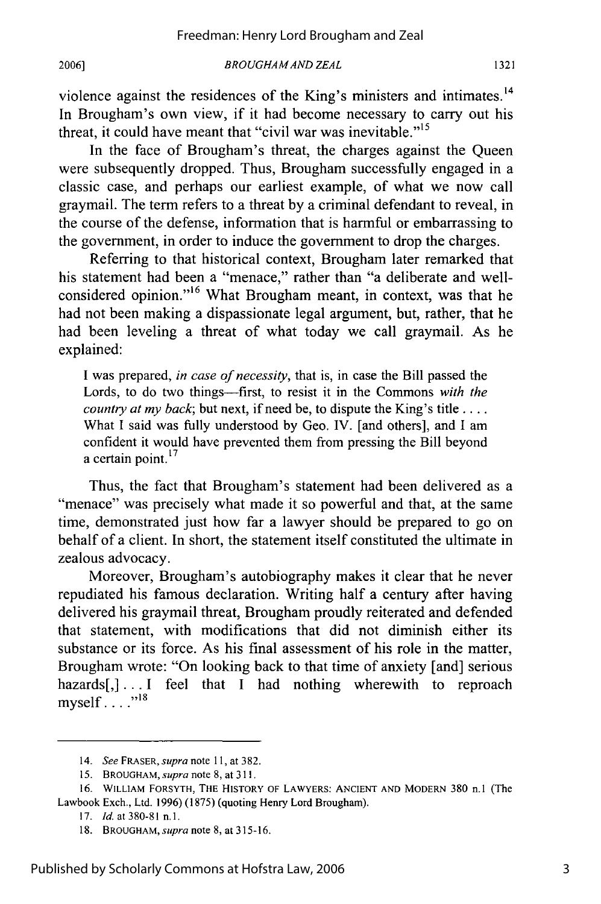*BROUGHAMAND ZEAL*

violence against the residences of the King's ministers and intimates.<sup>14</sup> In Brougham's own view, if it had become necessary to carry out his threat, it could have meant that "civil war was inevitable."<sup>15</sup>

In the face of Brougham's threat, the charges against the Queen were subsequently dropped. Thus, Brougham successfully engaged in a classic case, and perhaps our earliest example, of what we now call graymail. The term refers to a threat by a criminal defendant to reveal, in the course of the defense, information that is harmful or embarrassing to the government, in order to induce the government to drop the charges.

Referring to that historical context, Brougham later remarked that his statement had been a "menace," rather than "a deliberate and wellangidered opinion.<sup>116</sup> What Brougham meant, in context, was that he had not been making a dispassionate legal argument, but, rather, that he had been leveling a threat of what today we call graymail. As he explained:

I was prepared, *in case of necessity,* that is, in case the Bill passed the Lords, to do two things-first, to resist it in the Commons *with the country at my back;* but next, if need be, to dispute the King's title .... What I said was fully understood by Geo. IV. [and others], and I am confident it would have prevented them from pressing the Bill beyond  $\alpha$  certain point.<sup>1</sup>

Thus, the fact that Brougham's statement had been delivered as a "menace" was precisely what made it so powerful and that, at the same time, demonstrated just how far a lawyer should be prepared to go on behalf of a client. In short, the statement itself constituted the ultimate in zealous advocacy.

Moreover, Brougham's autobiography makes it clear that he never repudiated his famous declaration. Writing half a century after having delivered his graymail threat, Brougham proudly reiterated and defended that statement, with modifications that did not diminish either its substance or its force. As his final assessment of his role in the matter, Brougham wrote: "On looking back to that time of anxiety [and] serious hazards[,]... I feel that I had nothing wherewith to reproach myself $\ldots$ <sup>18</sup>

<sup>14.</sup> *See FRASER,* supra *note* 11, at 382.

**<sup>15.</sup>** BROUGHAM, *supra* note 8, at **311.**

**<sup>16.</sup>** WILLIAM FORSYTH, THE HISTORY OF LAWYERS: **ANCIENT AND** MODERN 380 n.1 (The Lawbook Exch., Ltd. 1996) (1875) (quoting Henry Lord Brougham).

**<sup>17.</sup>** *Id.* at 380-81 **n.1.**

<sup>18.</sup> BROUGHAM, supra note 8, at 315-16.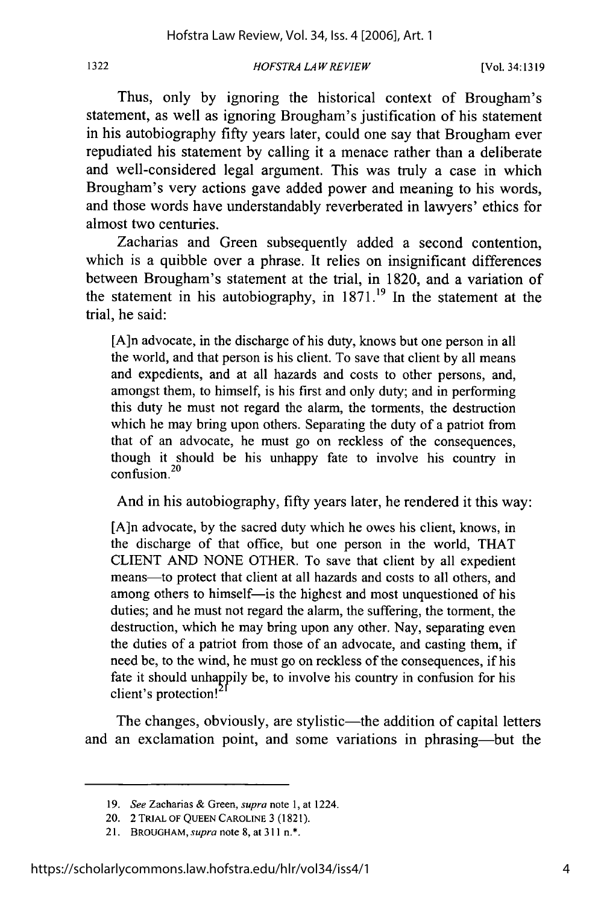#### *HOFSTRA LAWREV1EW* **1322** [Vol. 34:1319

Thus, only by ignoring the historical context of Brougham's statement, as well as ignoring Brougham's justification of his statement in his autobiography fifty years later, could one say that Brougham ever repudiated his statement by calling it a menace rather than a deliberate and well-considered legal argument. This was truly a case in which Brougham's very actions gave added power and meaning to his words, and those words have understandably reverberated in lawyers' ethics for almost two centuries.

Zacharias and Green subsequently added a second contention, which is a quibble over a phrase. It relies on insignificant differences between Brougham's statement at the trial, in 1820, and a variation of the statement in his autobiography, in  $1871$ <sup>19</sup> In the statement at the trial, he said:

[A]n advocate, in the discharge of his duty, knows but one person in all the world, and that person is his client. To save that client by all means and expedients, and at all hazards and costs to other persons, and, amongst them, to himself, is his first and only duty; and in performing this duty he must not regard the alarm, the torments, the destruction which he may bring upon others. Separating the duty of a patriot from that of an advocate, he must go on reckless of the consequences, though it should be his unhappy fate to involve his country in  $\frac{20}{20}$ 

And in his autobiography, fifty years later, he rendered it this way:

[A]n advocate, by the sacred duty which he owes his client, knows, in the discharge of that office, but one person in the world, THAT CLIENT AND NONE OTHER. To save that client by all expedient means-to protect that client at all hazards and costs to all others, and among others to himself-is the highest and most unquestioned of his duties; and he must not regard the alarm, the suffering, the torment, the destruction, which he may bring upon any other. Nay, separating even the duties of a patriot from those of an advocate, and casting them, if need be, to the wind, he must go on reckless of the consequences, if his fate it should unhappily be, to involve his country in confusion for his client's protection!

The changes, obviously, are stylistic—the addition of capital letters and an exclamation point, and some variations in phrasing-but the

*<sup>19.</sup> See* Zacharias & Green, supra note 1, at 1224.

<sup>20. 2</sup> TRIAL OF QUEEN CAROLINE 3 (1821).

<sup>21.</sup> BROUGHAM, *supra* note 8, at 311 n.\*.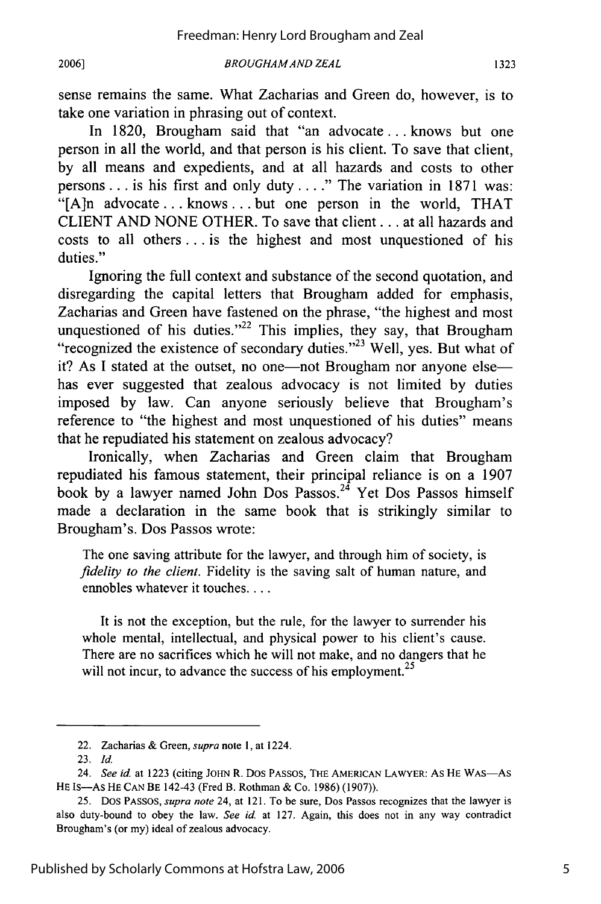**2006]**

sense remains the same. What Zacharias and Green do, however, is to take one variation in phrasing out of context.

In 1820, Brougham said that "an advocate... knows but one person in all the world, and that person is his client. To save that client, by all means and expedients, and at all hazards and costs to other persons.., is his first and only duty. .. **."** The variation in 1871 was: "[A]n advocate... knows... but one person in the world, THAT CLIENT AND NONE OTHER. To save that client... at all hazards and costs to all others **...** is the highest and most unquestioned of his duties."

Ignoring the full context and substance of the second quotation, and disregarding the capital letters that Brougham added for emphasis, Zacharias and Green have fastened on the phrase, "the highest and most unquestioned of his duties." $22$  This implies, they say, that Brougham "recognized the existence of secondary duties."<sup>23</sup> Well, yes. But what of it? As I stated at the outset, no one—not Brougham nor anyone else has ever suggested that zealous advocacy is not limited by duties imposed by law. Can anyone seriously believe that Brougham's reference to "the highest and most unquestioned of his duties" means that he repudiated his statement on zealous advocacy?

Ironically, when Zacharias and Green claim that Brougham repudiated his famous statement, their principal reliance is on a 1907 book by a lawyer named John Dos Passos.<sup>24</sup> Yet Dos Passos himself made a declaration in the same book that is strikingly similar to Brougham's. Dos Passos wrote:

The one saving attribute for the lawyer, and through him of society, is *fidelity to the client.* Fidelity is the saving salt of human nature, and ennobles whatever it touches....

It is not the exception, but the rule, for the lawyer to surrender his whole mental, intellectual, and physical power to his client's cause. There are no sacrifices which he will not make, and no dangers that he will not incur, to advance the success of his employment.<sup>25</sup>

<sup>22.</sup> Zacharias & Green, *supra* note 1, at 1224.

<sup>23.</sup> *Id.*

<sup>24.</sup> See id. at 1223 (citing JOHN R. DOS PASSOS, THE AMERICAN LAWYER: AS HE WAS-As **HE** Is-As **HE** CAN BE 142-43 (Fred B. Rothman & Co. 1986) (1907)).

<sup>25.</sup> Dos PASSOS, *supra note* 24, at 121. To be sure, Dos Passos recognizes that the lawyer is also duty-bound to obey the law. *See id.* at **127.** Again, this does not in any way contradict Brougham's (or my) ideal of zealous advocacy.